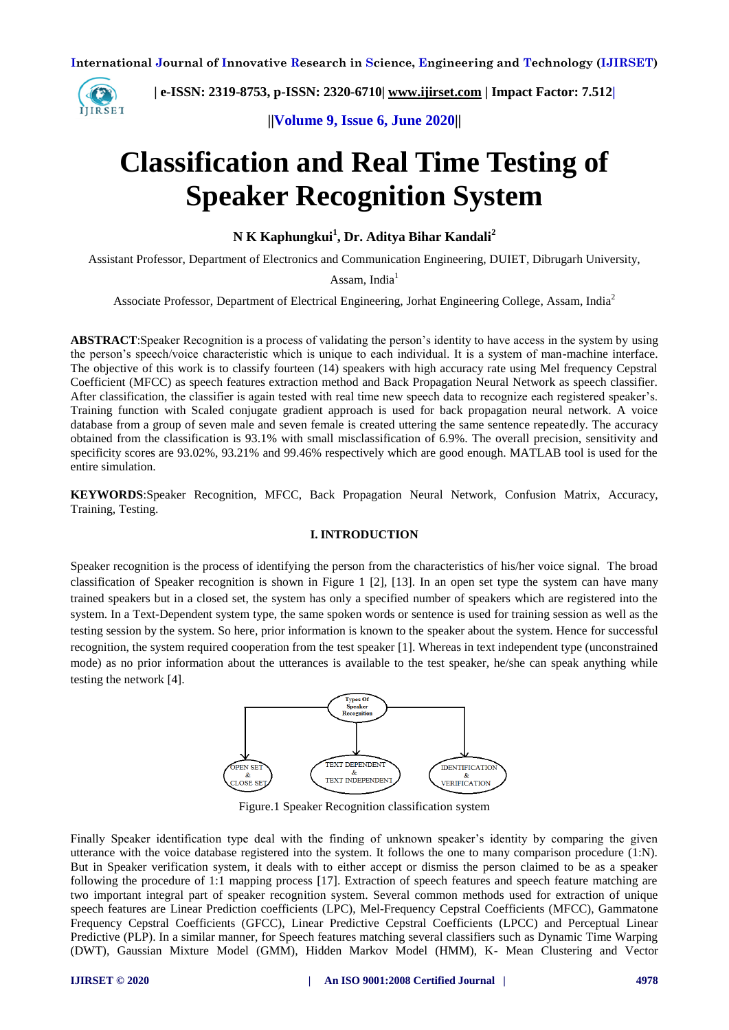

 **| e-ISSN: 2319-8753, p-ISSN: 2320-6710| [www.ijirset.com](http://www.ijirset.com/) | Impact Factor: 7.512|**

**||Volume 9, Issue 6, June 2020||** 

# **Classification and Real Time Testing of Speaker Recognition System**

**N K Kaphungkui<sup>1</sup> , Dr. Aditya Bihar Kandali<sup>2</sup>**

Assistant Professor, Department of Electronics and Communication Engineering, DUIET, Dibrugarh University,

Assam, India $<sup>1</sup>$ </sup>

Associate Professor, Department of Electrical Engineering, Jorhat Engineering College, Assam, India<sup>2</sup>

**ABSTRACT**:Speaker Recognition is a process of validating the person's identity to have access in the system by using the person's speech/voice characteristic which is unique to each individual. It is a system of man-machine interface. The objective of this work is to classify fourteen (14) speakers with high accuracy rate using Mel frequency Cepstral Coefficient (MFCC) as speech features extraction method and Back Propagation Neural Network as speech classifier. After classification, the classifier is again tested with real time new speech data to recognize each registered speaker's. Training function with Scaled conjugate gradient approach is used for back propagation neural network. A voice database from a group of seven male and seven female is created uttering the same sentence repeatedly. The accuracy obtained from the classification is 93.1% with small misclassification of 6.9%. The overall precision, sensitivity and specificity scores are 93.02%, 93.21% and 99.46% respectively which are good enough. MATLAB tool is used for the entire simulation.

**KEYWORDS**:Speaker Recognition, MFCC, Back Propagation Neural Network, Confusion Matrix, Accuracy, Training, Testing.

#### **I. INTRODUCTION**

Speaker recognition is the process of identifying the person from the characteristics of his/her voice signal. The broad classification of Speaker recognition is shown in Figure 1 [2], [13]. In an open set type the system can have many trained speakers but in a closed set, the system has only a specified number of speakers which are registered into the system. In a Text-Dependent system type, the same spoken words or sentence is used for training session as well as the testing session by the system. So here, prior information is known to the speaker about the system. Hence for successful recognition, the system required cooperation from the test speaker [1]. Whereas in text independent type (unconstrained mode) as no prior information about the utterances is available to the test speaker, he/she can speak anything while testing the network [4].



Figure.1 Speaker Recognition classification system

Finally Speaker identification type deal with the finding of unknown speaker's identity by comparing the given utterance with the voice database registered into the system. It follows the one to many comparison procedure (1:N). But in Speaker verification system, it deals with to either accept or dismiss the person claimed to be as a speaker following the procedure of 1:1 mapping process [17]. Extraction of speech features and speech feature matching are two important integral part of speaker recognition system. Several common methods used for extraction of unique speech features are Linear Prediction coefficients (LPC), Mel-Frequency Cepstral Coefficients (MFCC), Gammatone Frequency Cepstral Coefficients (GFCC), Linear Predictive Cepstral Coefficients (LPCC) and Perceptual Linear Predictive (PLP). In a similar manner, for Speech features matching several classifiers such as Dynamic Time Warping (DWT), Gaussian Mixture Model (GMM), Hidden Markov Model (HMM), K- Mean Clustering and Vector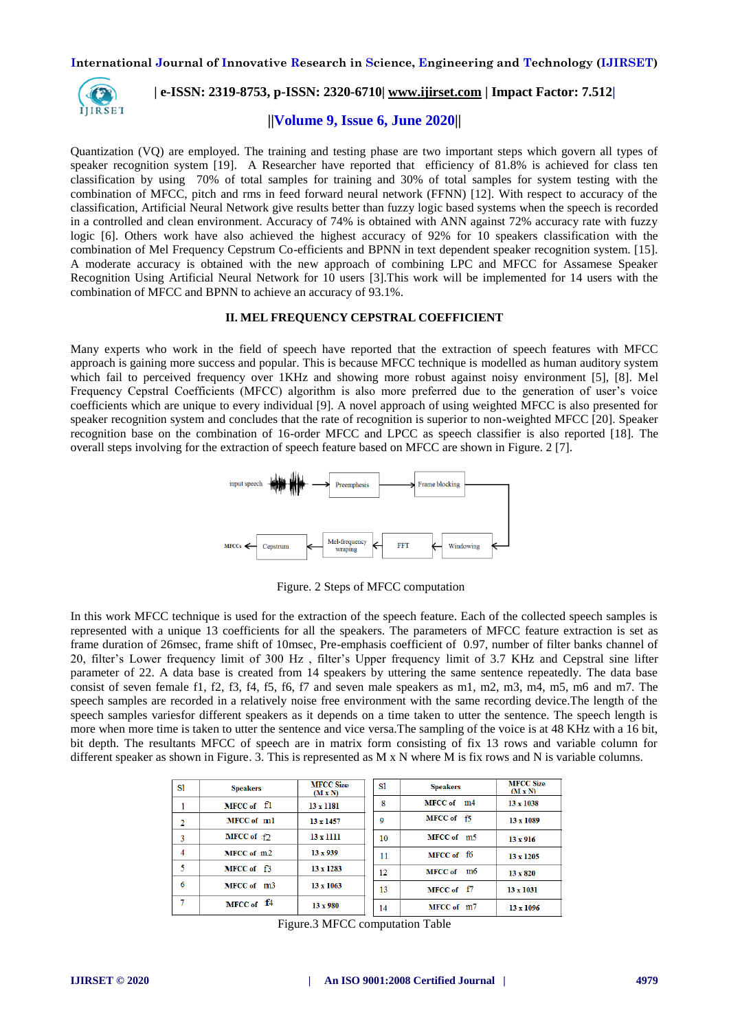

# **| e-ISSN: 2319-8753, p-ISSN: 2320-6710| [www.ijirset.com](http://www.ijirset.com/) | Impact Factor: 7.512|**

#### **||Volume 9, Issue 6, June 2020||**

Quantization (VQ) are employed. The training and testing phase are two important steps which govern all types of speaker recognition system [19]. A Researcher have reported that efficiency of 81.8% is achieved for class ten classification by using 70% of total samples for training and 30% of total samples for system testing with the combination of MFCC, pitch and rms in feed forward neural network (FFNN) [12]. With respect to accuracy of the classification, Artificial Neural Network give results better than fuzzy logic based systems when the speech is recorded in a controlled and clean environment. Accuracy of 74% is obtained with ANN against 72% accuracy rate with fuzzy logic [6]. Others work have also achieved the highest accuracy of 92% for 10 speakers classification with the combination of Mel Frequency Cepstrum Co-efficients and BPNN in text dependent speaker recognition system. [15]. A moderate accuracy is obtained with the new approach of combining LPC and MFCC for Assamese Speaker Recognition Using Artificial Neural Network for 10 users [3].This work will be implemented for 14 users with the combination of MFCC and BPNN to achieve an accuracy of 93.1%.

#### **II. MEL FREQUENCY CEPSTRAL COEFFICIENT**

Many experts who work in the field of speech have reported that the extraction of speech features with MFCC approach is gaining more success and popular. This is because MFCC technique is modelled as human auditory system which fail to perceived frequency over 1KHz and showing more robust against noisy environment [5], [8]. Mel Frequency Cepstral Coefficients (MFCC) algorithm is also more preferred due to the generation of user's voice coefficients which are unique to every individual [9]. A novel approach of using weighted MFCC is also presented for speaker recognition system and concludes that the rate of recognition is superior to non-weighted MFCC [20]. Speaker recognition base on the combination of 16-order MFCC and LPCC as speech classifier is also reported [18]. The overall steps involving for the extraction of speech feature based on MFCC are shown in Figure. 2 [7].



Figure. 2 Steps of MFCC computation

In this work MFCC technique is used for the extraction of the speech feature. Each of the collected speech samples is represented with a unique 13 coefficients for all the speakers. The parameters of MFCC feature extraction is set as frame duration of 26msec, frame shift of 10msec, Pre-emphasis coefficient of 0.97, number of filter banks channel of 20, filter's Lower frequency limit of 300 Hz , filter's Upper frequency limit of 3.7 KHz and Cepstral sine lifter parameter of 22. A data base is created from 14 speakers by uttering the same sentence repeatedly. The data base consist of seven female f1, f2, f3, f4, f5, f6, f7 and seven male speakers as m1, m2, m3, m4, m5, m6 and m7. The speech samples are recorded in a relatively noise free environment with the same recording device.The length of the speech samples variesfor different speakers as it depends on a time taken to utter the sentence. The speech length is more when more time is taken to utter the sentence and vice versa. The sampling of the voice is at 48 KHz with a 16 bit, bit depth. The resultants MFCC of speech are in matrix form consisting of fix 13 rows and variable column for different speaker as shown in Figure. 3. This is represented as M x N where M is fix rows and N is variable columns.

| -S1            | <b>Speakers</b>             | <b>MFCC Size</b><br>(MxN) | S1 | <b>Speakers</b>      | <b>MFCC Size</b><br>$(M \times N)$ |
|----------------|-----------------------------|---------------------------|----|----------------------|------------------------------------|
|                | $MFCC of \Pi$               | 13 x 1181                 | 8  | MFCC of m4           | $13 \times 1038$                   |
| $\overline{2}$ | MFCC of m1                  | 13 x 1457                 | 9  | MFCC of f5           | 13 x 1089                          |
| 3              | <b>MFCC</b> of $\uparrow$ 2 | 13 x 1111                 | 10 | MFCC of m5           | $13 \times 916$                    |
| $\overline{4}$ | MFCC of m2                  | $13 \times 939$           | 11 | MFCC of f6           | 13 x 1205                          |
| 5              | MFCC of $\Box$              | 13 x 1283                 | 12 | <b>MFCC</b> of<br>m6 | $13 \times 820$                    |
| 6              | MFCC of m3                  | $13 \times 1063$          | 13 | MFCC of $f$ 7        | $13 \times 1031$                   |
| 7              | MFCC of $14$                | $13 \times 980$           | 14 | MFCC of m7           | 13 x 1096                          |

Figure.3 MFCC computation Table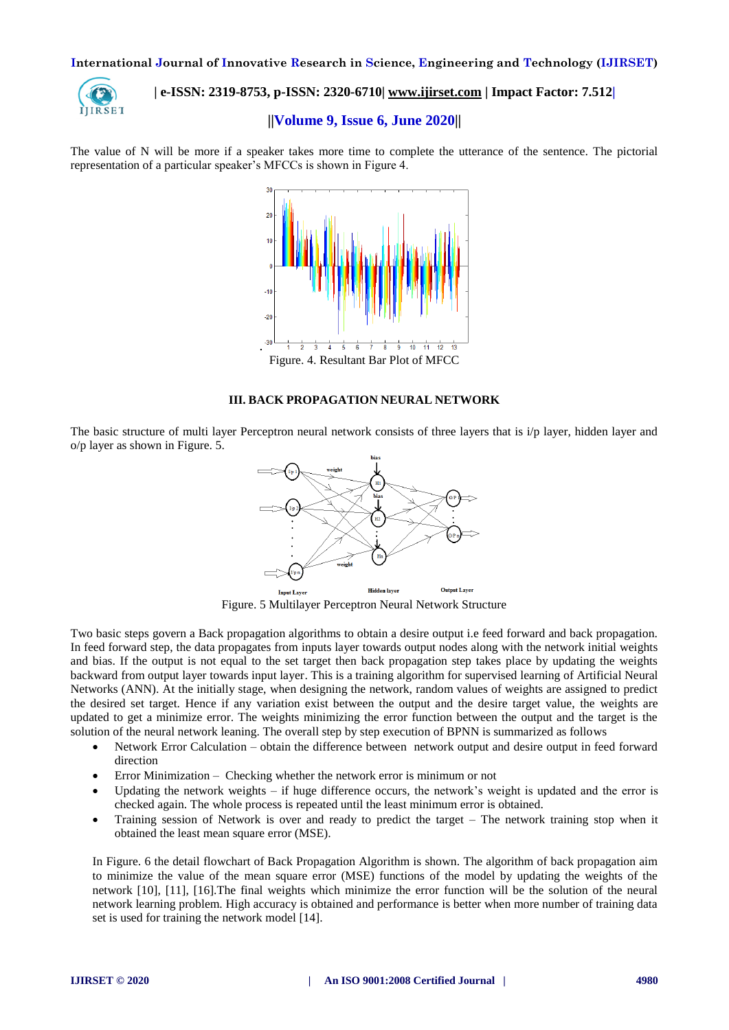

# **| e-ISSN: 2319-8753, p-ISSN: 2320-6710| [www.ijirset.com](http://www.ijirset.com/) | Impact Factor: 7.512|**

## **||Volume 9, Issue 6, June 2020||**

The value of N will be more if a speaker takes more time to complete the utterance of the sentence. The pictorial representation of a particular speaker's MFCCs is shown in Figure 4.



#### **III. BACK PROPAGATION NEURAL NETWORK**

The basic structure of multi layer Perceptron neural network consists of three layers that is i/p layer, hidden layer and o/p layer as shown in Figure. 5.



Figure. 5 Multilayer Perceptron Neural Network Structure

Two basic steps govern a Back propagation algorithms to obtain a desire output i.e feed forward and back propagation. In feed forward step, the data propagates from inputs layer towards output nodes along with the network initial weights and bias. If the output is not equal to the set target then back propagation step takes place by updating the weights backward from output layer towards input layer. This is a training algorithm for supervised learning of Artificial Neural Networks (ANN). At the initially stage, when designing the network, random values of weights are assigned to predict the desired set target. Hence if any variation exist between the output and the desire target value, the weights are updated to get a minimize error. The weights minimizing the error function between the output and the target is the solution of the neural network leaning. The overall step by step execution of BPNN is summarized as follows

- Network Error Calculation obtain the difference between network output and desire output in feed forward direction
- Error Minimization Checking whether the network error is minimum or not
- Updating the network weights if huge difference occurs, the network's weight is updated and the error is checked again. The whole process is repeated until the least minimum error is obtained.
- Training session of Network is over and ready to predict the target The network training stop when it obtained the least mean square error (MSE).

In Figure. 6 the detail flowchart of Back Propagation Algorithm is shown. The algorithm of back propagation aim to minimize the value of the mean square error (MSE) functions of the model by updating the weights of the network [10], [11], [16].The final weights which minimize the error function will be the solution of the neural network learning problem. High accuracy is obtained and performance is better when more number of training data set is used for training the network model [14].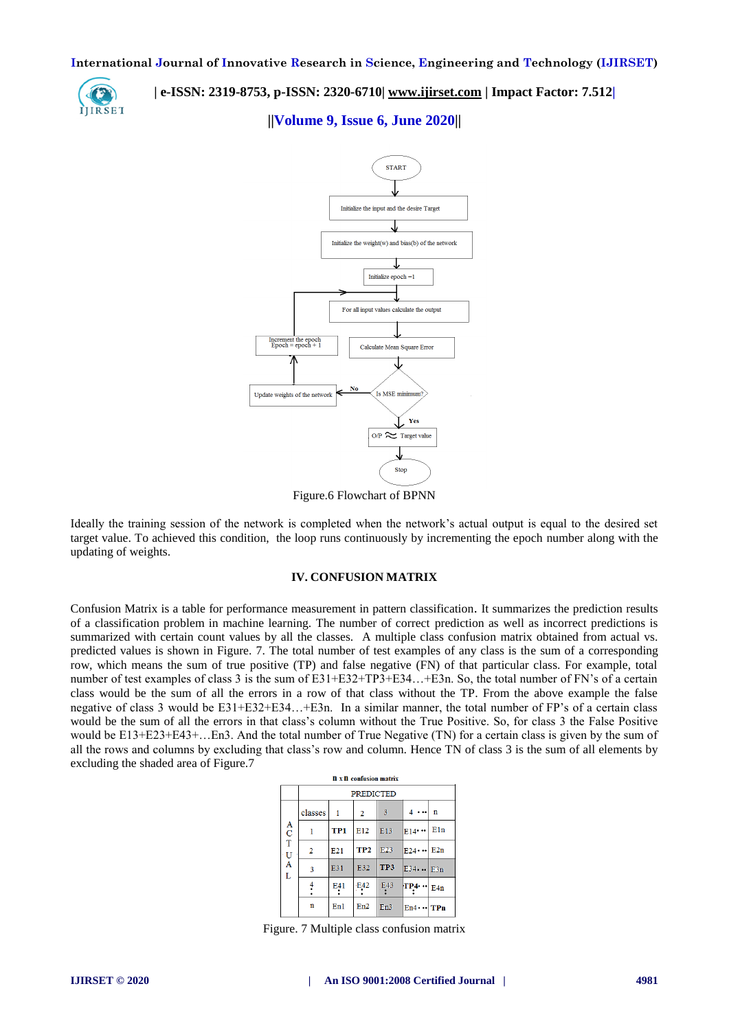

 **| e-ISSN: 2319-8753, p-ISSN: 2320-6710| [www.ijirset.com](http://www.ijirset.com/) | Impact Factor: 7.512|**

#### **||Volume 9, Issue 6, June 2020||**



Ideally the training session of the network is completed when the network's actual output is equal to the desired set target value. To achieved this condition, the loop runs continuously by incrementing the epoch number along with the updating of weights.

#### **IV. CONFUSION MATRIX**

Confusion Matrix is a table for performance measurement in pattern classification. It summarizes the prediction results of a classification problem in machine learning. The number of correct prediction as well as incorrect predictions is summarized with certain count values by all the classes. A multiple class confusion matrix obtained from actual vs. predicted values is shown in Figure. 7. The total number of test examples of any class is the sum of a corresponding row, which means the sum of true positive (TP) and false negative (FN) of that particular class. For example, total number of test examples of class 3 is the sum of E31+E32+TP3+E34…+E3n. So, the total number of FN's of a certain class would be the sum of all the errors in a row of that class without the TP. From the above example the false negative of class 3 would be E31+E32+E34…+E3n. In a similar manner, the total number of FP's of a certain class would be the sum of all the errors in that class's column without the True Positive. So, for class 3 the False Positive would be E13+E23+E43+…En3. And the total number of True Negative (TN) for a certain class is given by the sum of all the rows and columns by excluding that class's row and column. Hence TN of class 3 is the sum of all elements by excluding the shaded area of Figure.7

| <b>n</b> x <b>n</b> confusion matrix         |               |     |                  |            |                  |             |  |  |  |  |
|----------------------------------------------|---------------|-----|------------------|------------|------------------|-------------|--|--|--|--|
|                                              |               |     | <b>PREDICTED</b> |            |                  |             |  |  |  |  |
|                                              | classes       | 1   | $\overline{2}$   | 3          |                  | $\mathbf n$ |  |  |  |  |
| $\begin{array}{c}\nA \\ C \\ T\n\end{array}$ |               | TP1 | E12              | E13        | E14              | E1n         |  |  |  |  |
|                                              | 2             | E21 | TP <sub>2</sub>  | E23        | $E24 \cdots$ E2n |             |  |  |  |  |
| U<br>A<br>Ľ                                  | 3             | E31 | E32              | TP3        | $E34$ $E3n$      |             |  |  |  |  |
|                                              | $\frac{4}{1}$ | E41 | E42              | <b>E43</b> | FP4.             | $  $ E4n    |  |  |  |  |
|                                              | n             | En1 | En2              | En3        | $En4 \cdots$ TPn |             |  |  |  |  |

Figure. 7 Multiple class confusion matrix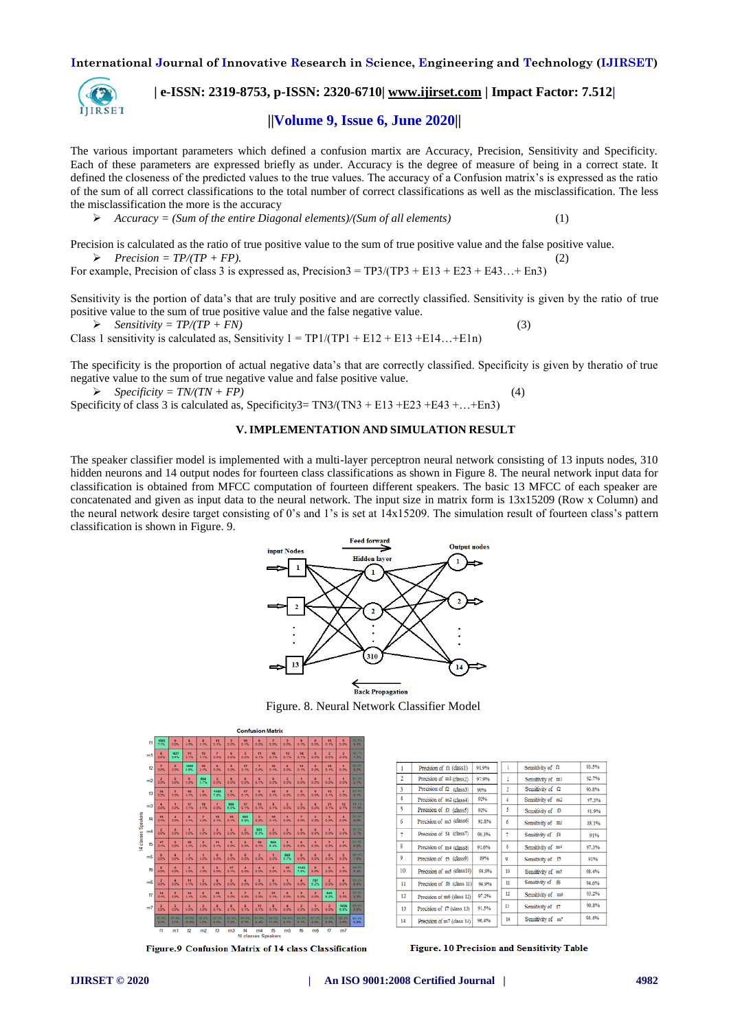

 **| e-ISSN: 2319-8753, p-ISSN: 2320-6710| [www.ijirset.com](http://www.ijirset.com/) | Impact Factor: 7.512|**

# **||Volume 9, Issue 6, June 2020||**

The various important parameters which defined a confusion martix are Accuracy, Precision, Sensitivity and Specificity. Each of these parameters are expressed briefly as under. Accuracy is the degree of measure of being in a correct state. It defined the closeness of the predicted values to the true values. The accuracy of a Confusion matrix's is expressed as the ratio of the sum of all correct classifications to the total number of correct classifications as well as the misclassification. The less the misclassification the more is the accuracy

*Accuracy = (Sum of the entire Diagonal elements)/(Sum of all elements)* (1)

Precision is calculated as the ratio of true positive value to the sum of true positive value and the false positive value.  $\triangleright$  Precision = TP/(TP + FP).

For example, Precision of class 3 is expressed as, Precision $3 = TP3/(TP3 + E13 + E23 + E43... + En3)$ 

Sensitivity is the portion of data's that are truly positive and are correctly classified. Sensitivity is given by the ratio of true positive value to the sum of true positive value and the false negative value.

$$
\triangleright \quad Sensitivity = TP/(TP + FN) \tag{3}
$$

Class 1 sensitivity is calculated as, Sensitivity  $1 = TP1/(TP1 + E12 + E13 + E14... + E1n)$ 

The specificity is the proportion of actual negative data's that are correctly classified. Specificity is given by theratio of true negative value to the sum of true negative value and false positive value.

 $\triangleright$  *Specificity = TN/(TN + FP)* (4)

Specificity of class 3 is calculated as, Specificity3=  $TN3/(TN3 + E13 + E23 + E43 + ... + En3)$ 

#### **V.IMPLEMENTATION AND SIMULATION RESULT**

The speaker classifier model is implemented with a multi-layer perceptron neural network consisting of 13 inputs nodes, 310 hidden neurons and 14 output nodes for fourteen class classifications as shown in Figure 8. The neural network input data for classification is obtained from MFCC computation of fourteen different speakers. The basic 13 MFCC of each speaker are concatenated and given as input data to the neural network. The input size in matrix form is 13x15209 (Row x Column) and the neural network desire target consisting of 0's and 1's is set at 14x15209. The simulation result of fourteen class's pattern classification is shown in Figure. 9.



Figure. 8. Neural Network Classifier Model

|                     |                |                        |                          |                         |                        |                        |                        | <b>Confusion Matrix</b>          |                         |                        |                        |                                  |                           |                                  |                                  |                |
|---------------------|----------------|------------------------|--------------------------|-------------------------|------------------------|------------------------|------------------------|----------------------------------|-------------------------|------------------------|------------------------|----------------------------------|---------------------------|----------------------------------|----------------------------------|----------------|
|                     | 41             | 1085                   | $\bullet$<br>0.0%        | c<br>o.ps.              | п<br>0.1%              | 13<br>0.1%             | $\overline{z}$<br>0.0% | 50<br>0.1%                       | $\bullet$<br>0.0%       | z<br>0.0%              | э<br>a ps.             | э<br>0.15                        | ۰<br>0.0%                 | 13<br>0.15                       | $\overline{\phantom{a}}$<br>0.0% | 93.91<br>6.5%  |
|                     | m1             | c<br>o.os              | 5427<br>9.4%             | 11<br>0.15              | 15<br>0.1%             | $\overline{r}$<br>0.0% | $\epsilon$<br>0.0%     | $\overline{\phantom{a}}$<br>0.0% | 11<br>0.15              | 96<br>0.1%             | 13<br>0.1%             | 14<br>0.15                       | 5<br>0.0%                 | $\overline{z}$<br>0.0%           | $\overline{a}$<br>0.0%           | 92.75<br>7.3%  |
|                     | 2              | Ŧ<br>0.0%              | ٠<br>a es                | 1000<br>6.6%            | 10<br>0.1%             | c<br>a os              | 5<br>0.0%              | 57<br>0.5%                       | $\mathbf{r}$<br>0.0%    | 16<br>0.1%             | $\epsilon$<br>a ps.    | 11<br>0.1%                       | ۰<br>$0.0\%$              | 15<br>0.15                       | ٠<br>0.0%                        | 90.81<br>9.2%  |
|                     | m2             | $\frac{2}{100}$        | $\bullet$<br><b>a.ox</b> | $\bullet$<br>0.0%       | 864<br>6.7%            | $\overline{z}$<br>a D% | $\epsilon$<br>0.0%     | $\bullet$<br>0.0%                | п<br>0.1%               | $\bullet$<br>0.0%      | 3<br>a ps.             | п<br>0.0%                        | $\bullet$<br>0.0%         | $\blacksquare$<br>0.0%           | ٠<br>0.0%                        | 97.31<br>2.7%  |
|                     | ß              | 24<br>0.25             | п<br>a os                | 18<br>0.1%              | $\bullet$<br>0.0%      | 1100<br>7.8%           | 3<br>0.0%              | 57<br>0.1%                       | $\bullet$<br>0.0%       | m<br>0.1%              | $\bullet$<br>a.os.     | $\bullet$<br>0.0%                | 5<br>0.0%                 | 13<br>0.15                       | п<br>0.0%                        | 91.91<br>8.1%  |
|                     | m <sub>3</sub> | л<br>0.0%              | $\blacksquare$<br>a.es   | 17<br>0.1%              | 13<br>0.1%             | $\tau$<br>a os         | 904<br>6.5%            | 57<br>0.1%                       | 15<br>0.1%              | $\bullet$<br>0.1%      | $\mathbf{z}$<br>a D%   | $\overline{a}$<br>0.0%           | $\epsilon$<br>$0.0\%$     | 21<br>0.1%                       | 12<br>0.1%                       | 88.17<br>11.97 |
|                     | 丝              | 10<br>0.1%             | $\overline{4}$<br>0.0%   | п<br>0.1%               | $\overline{r}$<br>0.0% | 15<br>0.1%             | 10<br>0.1%             | 885<br>6.8%                      | $\overline{a}$<br>0.0%  | 10<br>0.1%             | $\blacksquare$<br>a os | $\overline{r}$<br>0.0%           | 3<br>0.0%                 | $\overline{\phantom{a}}$<br>0.0% | $\overline{\phantom{a}}$<br>0.0% | 91.01<br>9.0%  |
| 14 classes Speakers | m4             | $\overline{z}$<br>0.0% | 5<br>0.0%                | $\blacksquare$<br>0.0%  | $\overline{a}$<br>0.0% | в<br>a.on.             | л<br>0.0%              | $\overline{z}$<br>$0.0\%$        | 951<br>6.3%             | $\overline{z}$<br>0.0% | a<br>a.os.             | $\bullet$<br>0.0%                | $\bullet$<br>0.0%         | $\blacksquare$<br>0.0%           | ٠<br>0.0%                        | 97.31<br>2.7%  |
|                     | 65             | 17<br>0.1%             | $\mathbf{r}$<br>a as     | 18<br>0.1%              | $\overline{a}$<br>o.ox | 11<br>0.1%             | 5<br>0.0%              | $\epsilon$<br>a.ox               | 13 <sub>1</sub><br>0.1% | 963<br>6.4%            | $\blacksquare$<br>a os | $\epsilon$<br>0.0%               | $\blacksquare$<br>a.ox    | $\overline{z}$<br>0.0%           | ٠<br>0.0%                        | 91.01<br>9.0%  |
|                     | m6             | $\bullet$<br>0.0%      | $\overline{4}$<br>0.0%   | $\blacksquare$<br>0.0%  | п<br>0.0%              | $\bullet$<br>0.0%      | $\bullet$<br>0.0%      | $\bullet$<br>0.0%                | $\overline{z}$<br>0.0%  | ٠<br>0.0%              | 865<br>6.7%            | $\bullet$<br>0.0%                | $\bullet$<br>0.0%         | $\bullet$<br>0.0%                | $\overline{\phantom{a}}$<br>0.0% | 98.41<br>1.0%  |
|                     | 66             | c<br>o.os              | $\bullet$<br>0.0%        | л<br>o ps.              | 5<br>0.0%              | $\epsilon$<br>a.on.    | 17<br>$0.1\%$          | $\overline{4}$<br>$0.0\%$        | $\blacksquare$<br>0.05  | 4<br>0.0%              | 10<br>0.1%             | 1143<br>7.5%                     | $\bullet$<br>0.0%         | 5<br>0.0%                        | ٠<br>$0.0\%$                     | 94.07<br>5.4%  |
|                     | m6             | $\frac{2}{50}$         | $\overline{4}$<br>a.ox   | 11<br>0.1%              | $\overline{z}$<br>o.ox | $\epsilon$<br>a os     | 5<br>0.0%              | $\overline{4}$<br>a.ox           | 5<br>0.0%               | $\blacksquare$<br>0.1% | $\blacksquare$<br>a os | $\overline{4}$<br>0.0%           | 757<br>6.2%               | $\overline{z}$<br>0.0%           | $\overline{4}$<br>$0.0\%$        | 93.21<br>6.8%  |
|                     | 17             | 14<br>0.1%             | 5<br>a.ex                | 14<br>0.1%              | $\bullet$<br>0.0%      | 13<br>0.1%             | 3<br>0.0%              | $\overline{z}$<br>0.0%           | $\mathbf{r}$<br>o.os    | 21<br>0.1%             | $\bullet$<br>a one     | $\overline{\phantom{a}}$<br>0.0% | $\overline{2}$<br>$0.0\%$ | 943<br>6.2%                      | ٠<br>0.0%                        | 90.81<br>9.2%  |
|                     | m <sub>l</sub> | $\overline{z}$<br>o os | $\overline{z}$<br>0.0%   | $\blacksquare$<br>o ps. | $\overline{a}$<br>0.0% | $\blacksquare$<br>0.1% | п<br>0.15              | п<br>0.1%                        | 11<br>0.15              | п<br>0.1%              | $\overline{4}$<br>a os | $\overline{z}$<br>0.0%           | $\blacksquare$<br>$0.0\%$ | а<br>0.0%                        | 9056<br>6.9%                     | 94.41<br>5.6%  |
|                     |                | 91.9%<br>8.1%          | 97.9%<br>2.1%            | 90.0%<br>10.0%          | 92.0%<br>8.0%          | 92.0%<br>8.0%          | 92.8%<br>7.2%          | 90.3%<br>9.7%                    | 91.8%<br>8.4%           | 89.0%<br>11.0%         | 94.9%<br>5.1%          | 54.9%<br>5.1%                    | 97.2%<br>2.8%             | 91.5%<br>8.5%                    | 95.4%<br>$3.0\%$                 | 93.99<br>6.9%  |
|                     |                | Ħ                      | m1                       | 12                      | m2                     | $\mathbf{G}$           | m3                     | \$4<br>14 classes Speakers       | m4                      | Б                      | m <sub>5</sub>         | 16                               | m6                        | $\boldsymbol{\sigma}$            | m <sub>7</sub>                   |                |

| 1              | Precision of f1 (class1)   | 91.9%  | 1  | Sensitivity of fl | 93.5% |
|----------------|----------------------------|--------|----|-------------------|-------|
| $\overline{c}$ | Precision of m1 (class2)   | 97.9%  | 2  | Sensitivity of ml | 92.7% |
| 3              | Precision of f2 (class3)   | 90%    | 3  | Sensitivity of f2 | 90.8% |
| 4              | Precision of m2 (class4)   | 92%    | 4  | Sensitivity of m2 | 97.3% |
| 5              | Precision of f3 (class5)   | 92%    | 5  | Sensitivity of 13 | 91.9% |
| 6              | Precision of m3 (class6)   | 92.8%  | ń  | Sensitivity of m3 | 88.1% |
| 7              | Precision of f4 (class7)   | 90.396 | 7  | Sensitivity of f4 | 91%   |
| 8              | Precision of m4 (class8)   | 91.6%  | 8  | Sensitivity of m4 | 97.3% |
| 9.             | Precision of f5 (class9)   | 89%    | ٥  | Sensitivity of f3 | 91%   |
| 10             | Precision of m5 (class10)  | 94.9%  | 10 | Sensitivity of m5 | 98.4% |
| 11             | Precision of f6 (class 11) | 94.9%  | 11 | Sensitivity of f6 | 94.6% |
| 12             | Precision of m6 (class 12) | 97.2%  | 12 | Sensitivity of m6 | 93.2% |
| 13             | Precision of f7 (class 13) | 91.5%  | 13 | Sensitivity of f7 | 90.8% |
| 14             | Precision of m7 (class 14) | 96.4%  | 14 | Sensitivity of m7 | 94.4% |
|                |                            |        |    |                   |       |

Figure.9 Confusion Matrix of 14 class Classification

Figure. 10 Precision and Sensitivity Table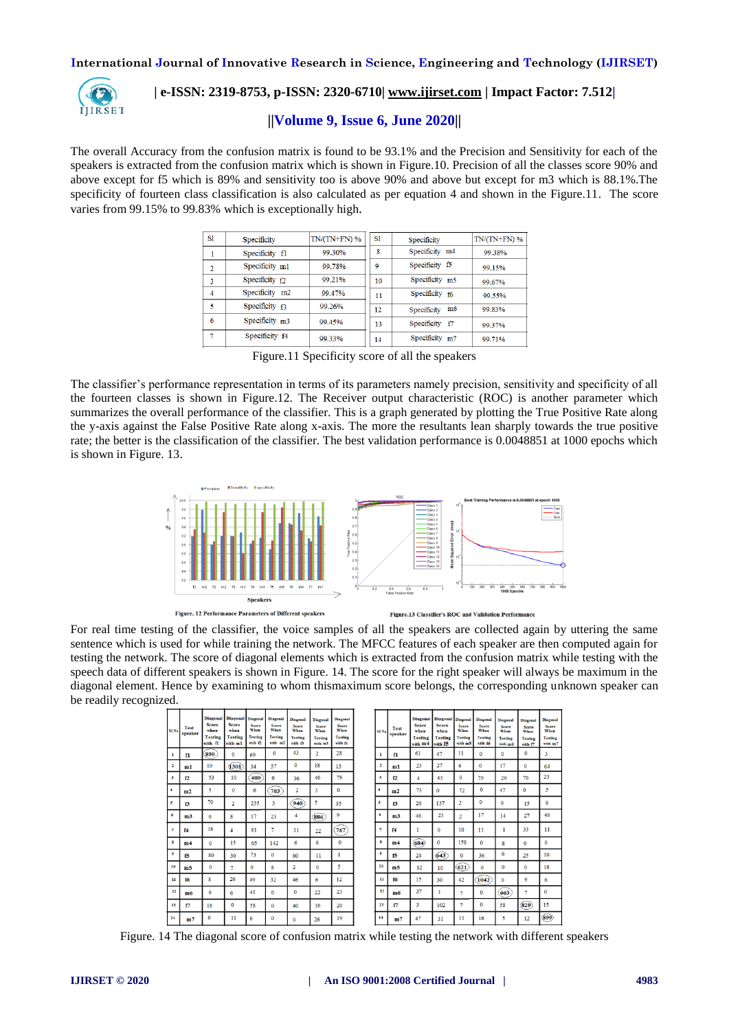

# **| e-ISSN: 2319-8753, p-ISSN: 2320-6710| [www.ijirset.com](http://www.ijirset.com/) | Impact Factor: 7.512|**

## **||Volume 9, Issue 6, June 2020||**

The overall Accuracy from the confusion matrix is found to be 93.1% and the Precision and Sensitivity for each of the speakers is extracted from the confusion matrix which is shown in Figure.10. Precision of all the classes score 90% and above except for f5 which is 89% and sensitivity too is above 90% and above but except for m3 which is 88.1%.The specificity of fourteen class classification is also calculated as per equation 4 and shown in the Figure.11. The score varies from 99.15% to 99.83% which is exceptionally high.

| S1             | <b>Specificity</b>        | $TN/(TN+FN)$ % | S1 | Specificity    | $TN/(TN+FN)$ % |
|----------------|---------------------------|----------------|----|----------------|----------------|
|                | Specificity fl            | 99.30%         | 8  | Specificity m4 | 99.38%         |
| $\overline{2}$ | Specificity m1            | 99.78%         | 9  | Specificity f5 | 99.15%         |
| 3              | Specificity <sub>12</sub> | 99.21%         | 10 | Specificity m5 | 99.67%         |
| 4              | Specificity m2            | 99.47%         | 11 | Specificity f6 | 99.55%         |
| κ              | Specificity $f3$          | 99.26%         | 12 | Specificity m6 | 99.83%         |
| 6              | Specificity m3            | 99.45%         | 13 | Specificity f7 | 99.37%         |
|                | Specificity f4            | 99.33%         | 14 | Specificity m7 | 99.71%         |

Figure.11 Specificity score of all the speakers

The classifier's performance representation in terms of its parameters namely precision, sensitivity and specificity of all the fourteen classes is shown in Figure.12. The Receiver output characteristic (ROC) is another parameter which summarizes the overall performance of the classifier. This is a graph generated by plotting the True Positive Rate along the y-axis against the False Positive Rate along x-axis. The more the resultants lean sharply towards the true positive rate; the better is the classification of the classifier. The best validation performance is 0.0048851 at 1000 epochs which is shown in Figure. 13.



Figure. 12 Performance Parameters of Different speakers

Figure.13 Classifier's ROC and Validation Performance

For real time testing of the classifier, the voice samples of all the speakers are collected again by uttering the same sentence which is used for while training the network. The MFCC features of each speaker are then computed again for testing the network. The score of diagonal elements which is extracted from the confusion matrix while testing with the speech data of different speakers is shown in Figure. 14. The score for the right speaker will always be maximum in the diagonal element. Hence by examining to whom thismaximum score belongs, the corresponding unknown speaker can be readily recognized.

| SI <sub>No</sub>        | Test<br>speaker | <b>Diagonal</b><br><b>Score</b><br>when<br><b>Testing</b><br>with fl | Diagonal Diagonal<br><b>Score</b><br>when<br><b>Testing</b><br>with ml | <b>Score</b><br>When<br><b>Testing</b><br>$with c2$ | Diagonal<br><b>Score</b><br>When<br><b>Testing</b><br>with m2 | Diagonal<br>Score<br>When<br><b>Testing</b><br>with f3 | Diagonal<br><b>Score</b><br>When<br><b>Testing</b><br>with m3 | Diagonal<br>Score<br>When<br><b>Testing</b><br>with f4 |
|-------------------------|-----------------|----------------------------------------------------------------------|------------------------------------------------------------------------|-----------------------------------------------------|---------------------------------------------------------------|--------------------------------------------------------|---------------------------------------------------------------|--------------------------------------------------------|
| ı                       | f1              | 890                                                                  | $\bf{0}$                                                               | 69                                                  | $\bf{0}$                                                      | 43                                                     | $\overline{\mathbf{c}}$                                       | 28                                                     |
| $\overline{\mathbf{2}}$ | m1              | 10                                                                   | (301)                                                                  | 34                                                  | 57                                                            | $\bf{0}$                                               | 18                                                            | 15                                                     |
| 3                       | f <sub>2</sub>  | 53                                                                   | 10                                                                     | 400                                                 | 6                                                             | 36                                                     | 46                                                            | 79                                                     |
| 4                       | m2              | 5                                                                    | $\mathbf{0}$                                                           | 6                                                   | 703                                                           | $\overline{2}$                                         | 3                                                             | $\bf{0}$                                               |
| 5                       | f3              | 70                                                                   | $\overline{a}$                                                         | 235                                                 | 3                                                             | 940                                                    | 5                                                             | 35                                                     |
| 6                       | m3              | $\bf{0}$                                                             | 8                                                                      | 17                                                  | 23                                                            | 4                                                      | 886                                                           | $\mathbf Q$                                            |
| 7                       | f4              | 38                                                                   | $\boldsymbol{4}$                                                       | 81                                                  | 7                                                             | 31                                                     | 22                                                            | 767                                                    |
| 8                       | m <sub>4</sub>  | $\bf{0}$                                                             | 15                                                                     | 65                                                  | 142                                                           | 6                                                      | $\Omega$                                                      | $\bf{0}$                                               |
| 9                       | f5              | 80                                                                   | 30                                                                     | 73                                                  | $\bf{0}$                                                      | 80                                                     | 11                                                            | $\mathbf{1}$                                           |
| 10                      | m <sub>5</sub>  | $\Omega$                                                             | 7                                                                      | $\bf{0}$                                            | 8                                                             | $\overline{2}$                                         | $\bf{0}$                                                      | 5                                                      |
| 11                      | f6              | 8                                                                    | 20                                                                     | 49                                                  | 32                                                            | 46                                                     | 6                                                             | 12                                                     |
| 12                      | mб              | $\bf{0}$                                                             | 6                                                                      | 41                                                  | $\bf{0}$                                                      | $\bf{0}$                                               | 22                                                            | 23                                                     |
| 13                      | f7              | 18                                                                   | $\bf{0}$                                                               | 58                                                  | $\bf{0}$                                                      | 40                                                     | 16                                                            | 20                                                     |
| 14                      | m <sub>7</sub>  | $\theta$                                                             | 11                                                                     | $\mathbf{0}$                                        | $\bf{0}$                                                      | $\Omega$                                               | 26                                                            | 19                                                     |

| SI <sub>No</sub> | <b>Test</b><br>speaker | <b>Score</b><br>when<br><b>Testing</b><br>with m4 | Diagonal Diagonal Diagonal<br><b>Score</b><br>when<br><b>Testing</b><br>with f5 | Score<br>When<br><b>Testing</b><br>with m5 | <b>Diagonal</b><br>Score<br>When<br><b>Testing</b><br>with f6 | Diagonal<br>Score<br>When<br><b>Testing</b><br>with m6 | Diagonal<br>Score<br>When<br><b>Testing</b><br>with f7 | Diagonal<br><b>Score</b><br>When<br><b>Testing</b><br>with m7 |
|------------------|------------------------|---------------------------------------------------|---------------------------------------------------------------------------------|--------------------------------------------|---------------------------------------------------------------|--------------------------------------------------------|--------------------------------------------------------|---------------------------------------------------------------|
| ٦                | f1                     | 61                                                | 47                                                                              | 11                                         | $\bf{0}$                                                      | $\bf{0}$                                               | $\bf{0}$                                               | $\overline{\mathbf{3}}$                                       |
| $\overline{2}$   | m1                     | 23                                                | 27                                                                              | 6                                          | $\bf{0}$                                                      | 17                                                     | $\Omega$                                               | 64                                                            |
| $\mathbf{3}$     | f2                     | $\boldsymbol{A}$                                  | 43                                                                              | $\bf{0}$                                   | 70                                                            | 29                                                     | 76                                                     | 23                                                            |
| $\overline{4}$   | m2                     | 73                                                | $\bf{0}$                                                                        | 72                                         | $\bf{0}$                                                      | 47                                                     | $\Omega$                                               | 5                                                             |
| 5                | f3                     | 26                                                | 137                                                                             | 2                                          | $\bf{0}$                                                      | $\bf{0}$                                               | 15                                                     | 8                                                             |
| 6                | m <sub>3</sub>         | 46                                                | 23                                                                              | $\overline{a}$                             | 17                                                            | 14                                                     | 27                                                     | 48                                                            |
| 7                | 14                     | 1                                                 | $\Omega$                                                                        | 10                                         | 11                                                            | 1                                                      | 33                                                     | 11                                                            |
| 8                | m4                     | 684                                               | $\bf{0}$                                                                        | 158                                        | $\mathbf{0}$                                                  | 8                                                      | 9                                                      | $\bf{0}$                                                      |
| 9                | 15                     | 24                                                | 643                                                                             | $\bf{0}$                                   | 36                                                            | 6                                                      | 25                                                     | 10                                                            |
| 10               | m <sub>5</sub>         | 12                                                | 10                                                                              | 621                                        | $\Omega$                                                      | $\bf{0}$                                               | $\bf{0}$                                               | 18                                                            |
| $\mathbf{11}$    | f6                     | 15                                                | 30                                                                              | 42                                         | 1042                                                          | $\bf{0}$                                               | 9                                                      | 6                                                             |
| 12               | mб                     | 37                                                | 1                                                                               | 7                                          | $\bf{0}$                                                      | 663                                                    | 7                                                      | $\mathbf{0}$                                                  |
| 13               | 17                     | 3                                                 | 102                                                                             | 7                                          | $\bf{0}$                                                      | 58                                                     | (829)                                                  | 15                                                            |
| 14               | m <sub>7</sub>         | 47                                                | 31                                                                              | 11                                         | 16                                                            | 5                                                      | 12                                                     | 899                                                           |

Figure. 14 The diagonal score of confusion matrix while testing the network with different speakers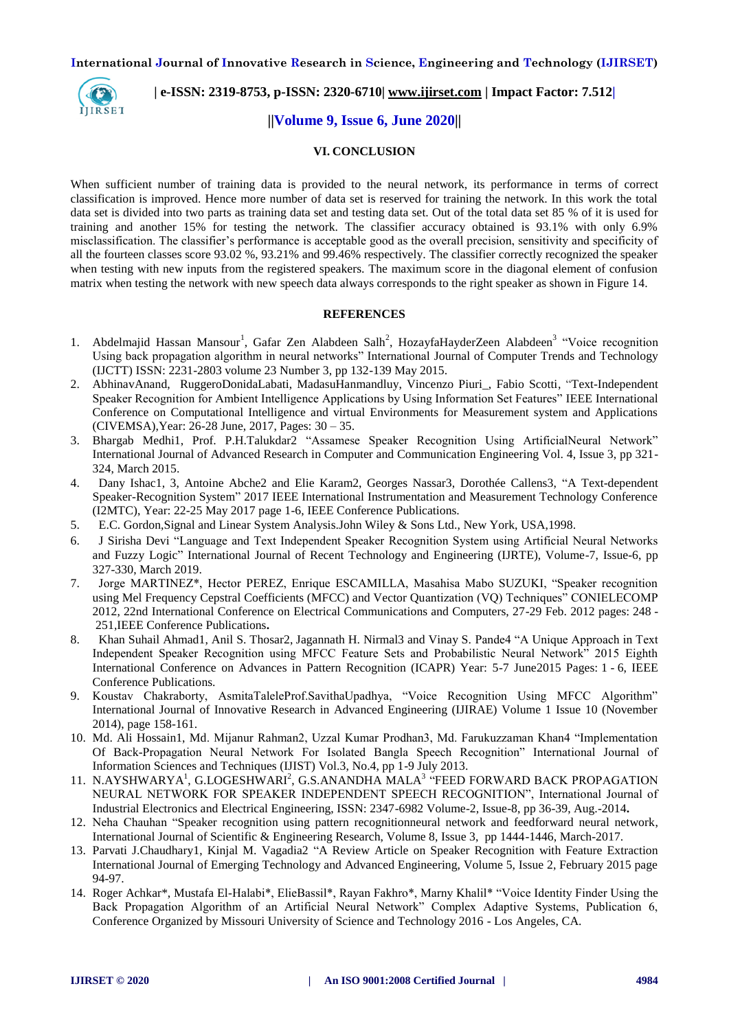

# **| e-ISSN: 2319-8753, p-ISSN: 2320-6710| [www.ijirset.com](http://www.ijirset.com/) | Impact Factor: 7.512|**

#### **||Volume 9, Issue 6, June 2020||**

#### **VI. CONCLUSION**

When sufficient number of training data is provided to the neural network, its performance in terms of correct classification is improved. Hence more number of data set is reserved for training the network. In this work the total data set is divided into two parts as training data set and testing data set. Out of the total data set 85 % of it is used for training and another 15% for testing the network. The classifier accuracy obtained is 93.1% with only 6.9% misclassification. The classifier's performance is acceptable good as the overall precision, sensitivity and specificity of all the fourteen classes score 93.02 %, 93.21% and 99.46% respectively. The classifier correctly recognized the speaker when testing with new inputs from the registered speakers. The maximum score in the diagonal element of confusion matrix when testing the network with new speech data always corresponds to the right speaker as shown in Figure 14.

#### **REFERENCES**

- 1. Abdelmajid Hassan Mansour<sup>1</sup>, Gafar Zen Alabdeen Salh<sup>2</sup>, HozayfaHayderZeen Alabdeen<sup>3</sup> "Voice recognition Using back propagation algorithm in neural networks" International Journal of Computer Trends and Technology (IJCTT) ISSN: 2231-2803 volume 23 Number 3, pp 132-139 May 2015.
- 2. AbhinavAnand, RuggeroDonidaLabati, MadasuHanmandluy, Vincenzo Piuri\_, Fabio Scotti, "Text-Independent Speaker Recognition for Ambient Intelligence Applications by Using Information Set Features" IEEE International Conference on Computational Intelligence and virtual Environments for Measurement system and Applications (CIVEMSA),Year: 26-28 June, 2017, Pages: 30 – 35.
- 3. Bhargab Medhi1, Prof. P.H.Talukdar2 "Assamese Speaker Recognition Using ArtificialNeural Network" International Journal of Advanced Research in Computer and Communication Engineering Vol. 4, Issue 3, pp 321- 324, March 2015.
- 4. Dany Ishac1, 3, Antoine Abche2 and Elie Karam2, Georges Nassar3, Dorothée Callens3, "A Text-dependent Speaker-Recognition System" 2017 IEEE International Instrumentation and Measurement Technology Conference (I2MTC), Year: 22-25 May 2017 page 1-6, IEEE Conference Publications.
- 5. E.C. Gordon,Signal and Linear System Analysis.John Wiley & Sons Ltd., New York, USA,1998.
- 6. J Sirisha Devi "Language and Text Independent Speaker Recognition System using Artificial Neural Networks and Fuzzy Logic" International Journal of Recent Technology and Engineering (IJRTE), Volume-7, Issue-6, pp 327-330, March 2019.
- 7. Jorge MARTINEZ\*, Hector PEREZ, Enrique ESCAMILLA, Masahisa Mabo SUZUKI, "Speaker recognition using Mel Frequency Cepstral Coefficients (MFCC) and Vector Quantization (VQ) Techniques" CONIELECOMP 2012, 22nd International Conference on Electrical Communications and Computers, 27-29 Feb. 2012 pages: 248 - 251,IEEE Conference Publications**.**
- 8. Khan Suhail Ahmad1, Anil S. Thosar2, Jagannath H. Nirmal3 and Vinay S. Pande4 "A Unique Approach in Text Independent Speaker Recognition using MFCC Feature Sets and Probabilistic Neural Network" 2015 Eighth International Conference on Advances in Pattern Recognition (ICAPR) Year: 5-7 June2015 Pages: 1 - 6, IEEE Conference Publications.
- 9. Koustav Chakraborty, AsmitaTaleleProf.SavithaUpadhya, "Voice Recognition Using MFCC Algorithm" International Journal of Innovative Research in Advanced Engineering (IJIRAE) Volume 1 Issue 10 (November 2014), page 158-161.
- 10. Md. Ali Hossain1, Md. Mijanur Rahman2, Uzzal Kumar Prodhan3, Md. Farukuzzaman Khan4 "Implementation Of Back-Propagation Neural Network For Isolated Bangla Speech Recognition" International Journal of Information Sciences and Techniques (IJIST) Vol.3, No.4, pp 1-9 July 2013.
- 11. N.AYSHWARYA<sup>1</sup>, G.LOGESHWARI<sup>2</sup>, G.S.ANANDHA MALA<sup>3</sup> "FEED FORWARD BACK PROPAGATION NEURAL NETWORK FOR SPEAKER INDEPENDENT SPEECH RECOGNITION", International Journal of Industrial Electronics and Electrical Engineering, ISSN: 2347-6982 Volume-2, Issue-8, pp 36-39, Aug.-2014**.**
- 12. Neha Chauhan "Speaker recognition using pattern recognitionneural network and feedforward neural network, International Journal of Scientific & Engineering Research, Volume 8, Issue 3, pp 1444-1446, March-2017.
- 13. Parvati J.Chaudhary1, Kinjal M. Vagadia2 "A Review Article on Speaker Recognition with Feature Extraction International Journal of Emerging Technology and Advanced Engineering, Volume 5, Issue 2, February 2015 page 94-97.
- 14. Roger Achkar\*, Mustafa El-Halabi\*, ElieBassil\*, Rayan Fakhro\*, Marny Khalil\* "Voice Identity Finder Using the Back Propagation Algorithm of an Artificial Neural Network" Complex Adaptive Systems, Publication 6, Conference Organized by Missouri University of Science and Technology 2016 - Los Angeles, CA.